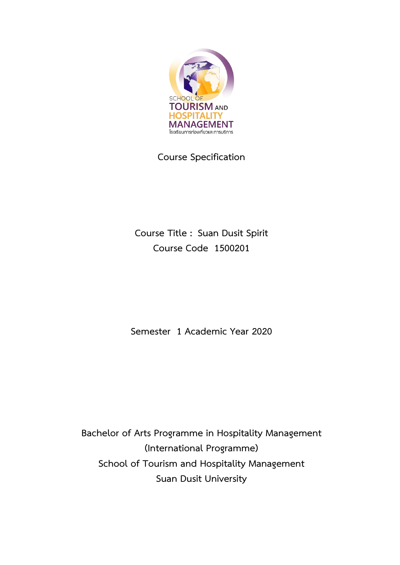

**Course Specification**

**Course Title : Suan Dusit Spirit Course Code 1500201**

**Semester 1 Academic Year 2020**

**Bachelor of Arts Programme in Hospitality Management (International Programme) School of Tourism and Hospitality Management Suan Dusit University**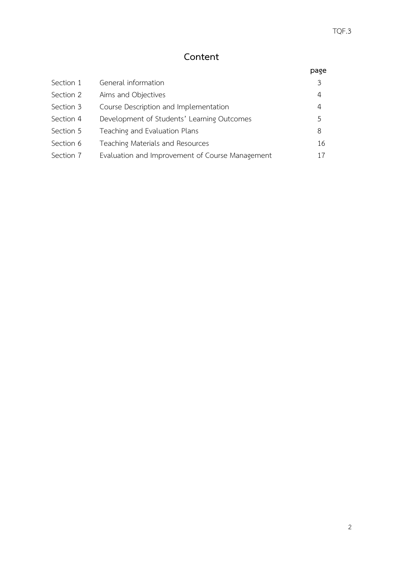# **Content**

| Section 1 | General information                             |              |
|-----------|-------------------------------------------------|--------------|
| Section 2 | Aims and Objectives                             | 4            |
| Section 3 | Course Description and Implementation           | 4            |
| Section 4 | Development of Students' Learning Outcomes      | $\mathsf{h}$ |
| Section 5 | Teaching and Evaluation Plans                   | 8            |
| Section 6 | Teaching Materials and Resources                | 16           |
| Section 7 | Evaluation and Improvement of Course Management | 17           |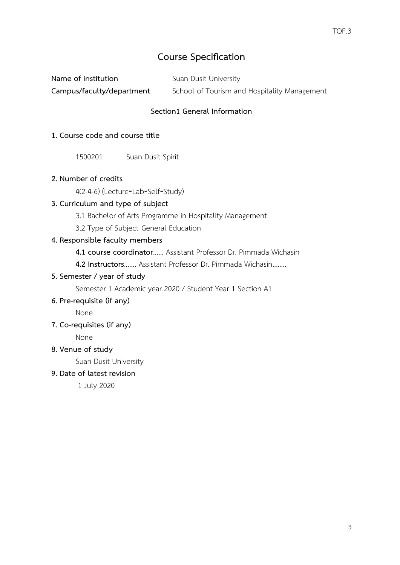# **Course Specification**

| Name of institution       | Suan Dusit University                        |
|---------------------------|----------------------------------------------|
| Campus/faculty/department | School of Tourism and Hospitality Management |

### **Section1 General Information**

### **1. Course code and course title**

1500201 Suan Dusit Spirit

### **2. Number of credits**

4(2-4-6) (Lecture‐Lab‐Self‐Study)

### **3. Curriculum and type of subject**

- 3.1 Bachelor of Arts Programme in Hospitality Management
- 3.2 Type of Subject General Education

### **4. Responsible faculty members**

**4.1 course coordinator**...... Assistant Professor Dr. Pimmada Wichasin

**4.2 Instructors**....... Assistant Professor Dr. Pimmada Wichasin........

### **5. Semester / year of study**

Semester 1 Academic year 2020 / Student Year 1 Section A1

**6. Pre-requisite (if any)**

None

**7. Co-requisites (if any)**

None

**8. Venue of study**

Suan Dusit University

**9. Date of latest revision**

1 July 2020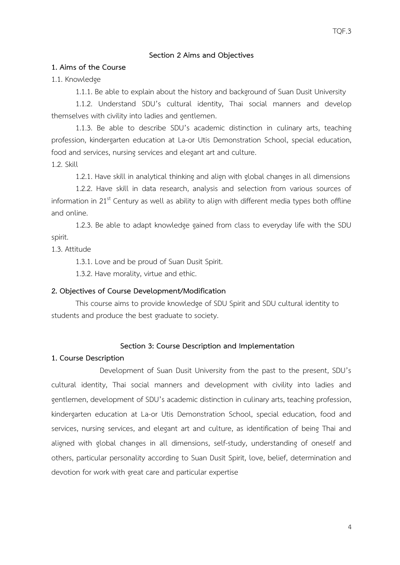#### **Section 2 Aims and Objectives**

#### **1. Aims of the Course**

1.1. Knowledge

1.1.1. Be able to explain about the history and background of Suan Dusit University

1.1.2. Understand SDU's cultural identity, Thai social manners and develop themselves with civility into ladies and gentlemen.

1.1.3. Be able to describe SDU's academic distinction in culinary arts, teaching profession, kindergarten education at La-or Utis Demonstration School, special education, food and services, nursing services and elegant art and culture.

1.2. Skill

1.2.1. Have skill in analytical thinking and align with global changes in all dimensions

1.2.2. Have skill in data research, analysis and selection from various sources of information in  $21<sup>st</sup>$  Century as well as ability to align with different media types both offline and online.

1.2.3. Be able to adapt knowledge gained from class to everyday life with the SDU spirit.

1.3. Attitude

1.3.1. Love and be proud of Suan Dusit Spirit.

1.3.2. Have morality, virtue and ethic.

#### **2. Objectives of Course Development/Modification**

This course aims to provide knowledge of SDU Spirit and SDU cultural identity to students and produce the best graduate to society.

#### **Section 3: Course Description and Implementation**

#### **1. Course Description**

Development of Suan Dusit University from the past to the present, SDU's cultural identity, Thai social manners and development with civility into ladies and gentlemen, development of SDU's academic distinction in culinary arts, teaching profession, kindergarten education at La-or Utis Demonstration School, special education, food and services, nursing services, and elegant art and culture, as identification of being Thai and aligned with global changes in all dimensions, self-study, understanding of oneself and others, particular personality according to Suan Dusit Spirit, love, belief, determination and devotion for work with great care and particular expertise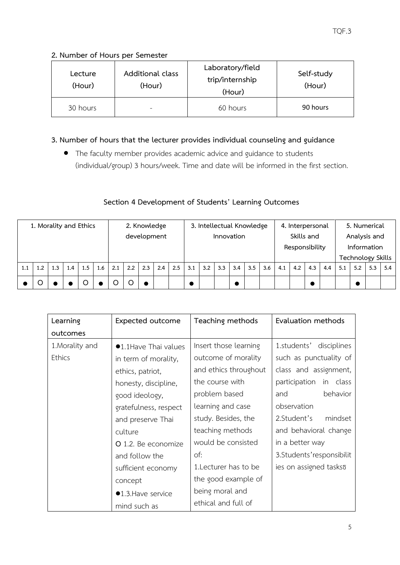# **2. Number of Hours per Semester**

| Lecture<br>(Hour) | Additional class<br>(Hour) | Laboratory/field<br>trip/internship<br>(Hour) | Self-study<br>(Hour) |  |  |
|-------------------|----------------------------|-----------------------------------------------|----------------------|--|--|
| 30 hours          |                            | 60 hours                                      | 90 hours             |  |  |

# **3. Number of hours that the lecturer provides individual counseling and guidance**

• The faculty member provides academic advice and guidance to students (individual/group) 3 hours/week. Time and date will be informed in the first section.

# **Section 4 Development of Students' Learning Outcomes**

| 1. Morality and Ethics |     |     |     | 2. Knowledge |     |     |     | 3. Intellectual Knowledge |            |     |     | 4. Interpersonal |            |     |                | 5. Numerical |              |     |                          |     |     |     |     |     |
|------------------------|-----|-----|-----|--------------|-----|-----|-----|---------------------------|------------|-----|-----|------------------|------------|-----|----------------|--------------|--------------|-----|--------------------------|-----|-----|-----|-----|-----|
|                        |     |     |     | development  |     |     |     |                           | Innovation |     |     |                  | Skills and |     |                |              | Analysis and |     |                          |     |     |     |     |     |
|                        |     |     |     |              |     |     |     |                           |            |     |     |                  |            |     | Responsibility |              |              |     | Information              |     |     |     |     |     |
|                        |     |     |     |              |     |     |     |                           |            |     |     |                  |            |     |                |              |              |     | <b>Technology Skills</b> |     |     |     |     |     |
| 1.1                    | 1.2 | 1.3 | 1.4 | 1.5          | 1.6 | 2.1 | 2.2 | 2.3                       | 2.4        | 2.5 | 3.1 | 3.2              | 3.3        | 3.4 | 3.5            | 3.6          | 4.1          | 4.2 | 4.3                      | 4.4 | 5.1 | 5.2 | 5.3 | 5.4 |
|                        |     |     |     |              |     |     |     |                           |            |     |     |                  |            |     |                |              |              |     |                          |     |     |     |     |     |

| Learning        | <b>Expected outcome</b> | Teaching methods      | Evaluation methods         |
|-----------------|-------------------------|-----------------------|----------------------------|
| outcomes        |                         |                       |                            |
| 1. Morality and | ●1.1Have Thai values    | Insert those learning | disciplines<br>1.students' |
| <b>Ethics</b>   | in term of morality,    | outcome of morality   | such as punctuality of     |
|                 | ethics, patriot,        | and ethics throughout | class and assignment,      |
|                 | honesty, discipline,    | the course with       | participation<br>in class  |
|                 | good ideology,          | problem based         | behavior<br>and            |
|                 | gratefulness, respect   | learning and case     | observation                |
|                 | and preserve Thai       | study. Besides, the   | 2. Student's<br>mindset    |
|                 | culture                 | teaching methods      | and behavioral change      |
|                 | O 1.2. Be economize     | would be consisted    | in a better way            |
|                 | and follow the          | of:                   | 3. Students' responsibilit |
|                 | sufficient economy      | 1. Lecturer has to be | ies on assigned tasksõ     |
|                 | concept                 | the good example of   |                            |
|                 | ●1.3. Have service      | being moral and       |                            |
|                 | mind such as            | ethical and full of   |                            |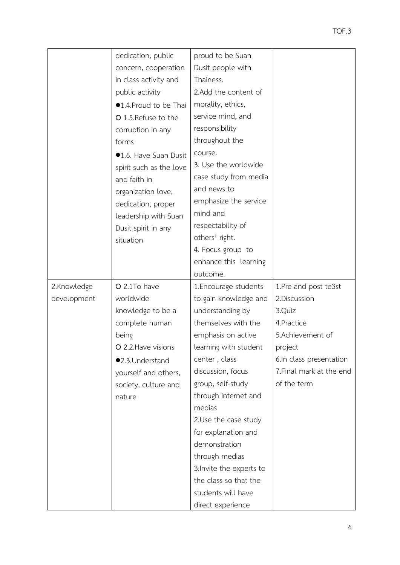|             | dedication, public      | proud to be Suan         |                          |
|-------------|-------------------------|--------------------------|--------------------------|
|             | concern, cooperation    | Dusit people with        |                          |
|             | in class activity and   | Thainess.                |                          |
|             | public activity         | 2.Add the content of     |                          |
|             | ●1.4. Proud to be Thai  | morality, ethics,        |                          |
|             | O 1.5. Refuse to the    | service mind, and        |                          |
|             | corruption in any       | responsibility           |                          |
|             | forms                   | throughout the           |                          |
|             | ●1.6. Have Suan Dusit   | course.                  |                          |
|             | spirit such as the love | 3. Use the worldwide     |                          |
|             | and faith in            | case study from media    |                          |
|             | organization love,      | and news to              |                          |
|             | dedication, proper      | emphasize the service    |                          |
|             | leadership with Suan    | mind and                 |                          |
|             | Dusit spirit in any     | respectability of        |                          |
|             | situation               | others' right.           |                          |
|             |                         | 4. Focus group to        |                          |
|             |                         | enhance this learning    |                          |
|             |                         | outcome.                 |                          |
| 2.Knowledge | O 2.1To have            | 1. Encourage students    | 1.Pre and post te3st     |
| development | worldwide               | to gain knowledge and    | 2.Discussion             |
|             | knowledge to be a       | understanding by         | 3.Quiz                   |
|             | complete human          | themselves with the      | 4. Practice              |
|             | being                   | emphasis on active       | 5.Achievement of         |
|             | O 2.2. Have visions     | learning with student    | project                  |
|             | ●2.3.Understand         | center, class            | 6.In class presentation  |
|             | yourself and others,    | discussion, focus        | 7. Final mark at the end |
|             | society, culture and    | group, self-study        | of the term              |
|             | nature                  | through internet and     |                          |
|             |                         | medias                   |                          |
|             |                         | 2.Use the case study     |                          |
|             |                         | for explanation and      |                          |
|             |                         | demonstration            |                          |
|             |                         | through medias           |                          |
|             |                         | 3. Invite the experts to |                          |
|             |                         | the class so that the    |                          |
|             |                         | students will have       |                          |
|             |                         |                          |                          |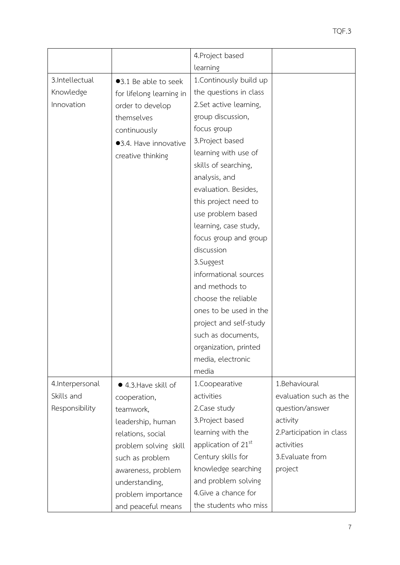|                  |                          | 4. Project based                |                           |
|------------------|--------------------------|---------------------------------|---------------------------|
|                  |                          | learning                        |                           |
| 3.Intellectual   |                          | 1. Continously build up         |                           |
|                  | ●3.1 Be able to seek     |                                 |                           |
| Knowledge        | for lifelong learning in | the questions in class          |                           |
| Innovation       | order to develop         | 2.Set active learning,          |                           |
|                  | themselves               | group discussion,               |                           |
|                  | continuously             | focus group                     |                           |
|                  | ●3.4. Have innovative    | 3. Project based                |                           |
|                  | creative thinking        | learning with use of            |                           |
|                  |                          | skills of searching,            |                           |
|                  |                          | analysis, and                   |                           |
|                  |                          | evaluation. Besides,            |                           |
|                  |                          | this project need to            |                           |
|                  |                          | use problem based               |                           |
|                  |                          | learning, case study,           |                           |
|                  |                          | focus group and group           |                           |
|                  |                          | discussion                      |                           |
|                  |                          | 3.Suggest                       |                           |
|                  |                          | informational sources           |                           |
|                  |                          | and methods to                  |                           |
|                  |                          | choose the reliable             |                           |
|                  |                          | ones to be used in the          |                           |
|                  |                          | project and self-study          |                           |
|                  |                          | such as documents,              |                           |
|                  |                          | organization, printed           |                           |
|                  |                          | media, electronic               |                           |
|                  |                          | media                           |                           |
| 4. Interpersonal | ● 4.3. Have skill of     | 1.Coopearative                  | 1.Behavioural             |
| Skills and       | cooperation,             | activities                      | evaluation such as the    |
| Responsibility   | teamwork,                | 2. Case study                   | question/answer           |
|                  | leadership, human        | 3. Project based                | activity                  |
|                  | relations, social        | learning with the               | 2. Participation in class |
|                  | problem solving skill    | application of 21 <sup>st</sup> | activities                |
|                  | such as problem          | Century skills for              | 3. Evaluate from          |
|                  | awareness, problem       | knowledge searching             | project                   |
|                  | understanding,           | and problem solving             |                           |
|                  | problem importance       | 4. Give a chance for            |                           |
|                  | and peaceful means       | the students who miss           |                           |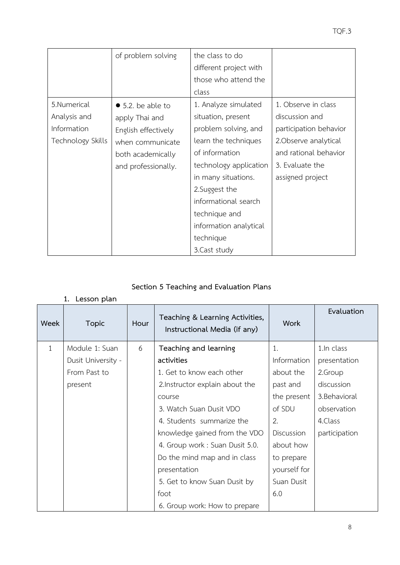|                   | of problem solving        | the class to do        |                        |
|-------------------|---------------------------|------------------------|------------------------|
|                   |                           | different project with |                        |
|                   |                           | those who attend the   |                        |
|                   |                           | class                  |                        |
| 5.Numerical       | $\bullet$ 5.2. be able to | 1. Analyze simulated   | 1. Observe in class    |
| Analysis and      | apply Thai and            | situation, present     | discussion and         |
| Information       | English effectively       | problem solving, and   | participation behavior |
| Technology Skills | when communicate          | learn the techniques   | 2. Observe analytical  |
|                   | both academically         | of information         | and rational behavior  |
|                   | and professionally.       | technology application | 3. Evaluate the        |
|                   |                           | in many situations.    | assigned project       |
|                   |                           | 2. Suggest the         |                        |
|                   |                           | informational search   |                        |
|                   |                           | technique and          |                        |
|                   |                           | information analytical |                        |
|                   |                           | technique              |                        |
|                   |                           | 3. Cast study          |                        |

# **Section 5 Teaching and Evaluation Plans**

### **1. Lesson plan**

| Week         | <b>Topic</b>       | Hour | Teaching & Learning Activities,<br>Instructional Media (if any) | <b>Work</b>  | Evaluation    |
|--------------|--------------------|------|-----------------------------------------------------------------|--------------|---------------|
| $\mathbf{1}$ | Module 1: Suan     | 6    | Teaching and learning                                           | 1.           | 1.In class    |
|              | Dusit University - |      | activities                                                      | Information  | presentation  |
|              | From Past to       |      | 1. Get to know each other                                       | about the    | 2.Group       |
|              | present            |      | 2. Instructor explain about the                                 | past and     | discussion    |
|              |                    |      | course                                                          | the present  | 3. Behavioral |
|              |                    |      | 3. Watch Suan Dusit VDO                                         | of SDU       | observation   |
|              |                    |      | 4. Students summarize the                                       | 2.           | 4.Class       |
|              |                    |      | knowledge gained from the VDO                                   | Discussion   | participation |
|              |                    |      | 4. Group work : Suan Dusit 5.0.                                 | about how    |               |
|              |                    |      | Do the mind map and in class                                    | to prepare   |               |
|              |                    |      | presentation                                                    | yourself for |               |
|              |                    |      | 5. Get to know Suan Dusit by                                    | Suan Dusit   |               |
|              |                    |      | foot                                                            | 6.0          |               |
|              |                    |      | 6. Group work: How to prepare                                   |              |               |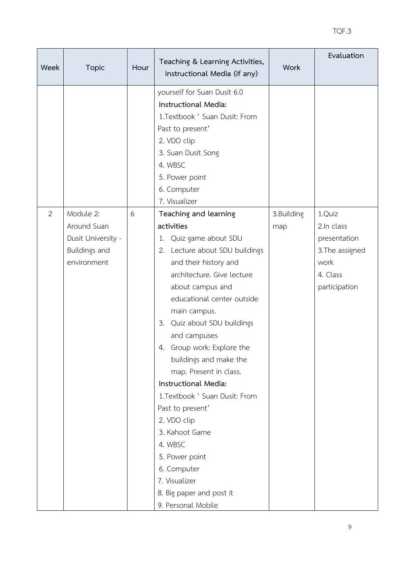| <b>Week</b> | <b>Topic</b>                                                                   | Hour | Teaching & Learning Activities,<br>Instructional Media (if any)                                                                                                                                                                                                                                                                                                                                                                                                                                                                                                                            | <b>Work</b>       | Evaluation                                                                                   |
|-------------|--------------------------------------------------------------------------------|------|--------------------------------------------------------------------------------------------------------------------------------------------------------------------------------------------------------------------------------------------------------------------------------------------------------------------------------------------------------------------------------------------------------------------------------------------------------------------------------------------------------------------------------------------------------------------------------------------|-------------------|----------------------------------------------------------------------------------------------|
|             |                                                                                |      | yourself for Suan Dusit 6.0<br>Instructional Media:<br>1.Textbook ' Suan Dusit: From<br>Past to present'<br>2. VDO clip<br>3. Suan Dusit Song<br>4. WBSC<br>5. Power point<br>6. Computer<br>7. Visualizer                                                                                                                                                                                                                                                                                                                                                                                 |                   |                                                                                              |
| 2           | Module 2:<br>Around Suan<br>Dusit University -<br>Buildings and<br>environment | 6    | Teaching and learning<br>activities<br>1. Quiz game about SDU<br>2. Lecture about SDU buildings<br>and their history and<br>architecture. Give lecture<br>about campus and<br>educational center outside<br>main campus.<br>3. Quiz about SDU buildings<br>and campuses<br>Group work: Explore the<br>4.<br>buildings and make the<br>map. Present in class.<br>Instructional Media:<br>1. Textbook ' Suan Dusit: From<br>Past to present'<br>2. VDO clip<br>3. Kahoot Game<br>4. WBSC<br>5. Power point<br>6. Computer<br>7. Visualizer<br>8. Big paper and post it<br>9. Personal Mobile | 3.Building<br>map | 1.Quiz<br>2.In class<br>presentation<br>3. The assigned<br>work<br>4. Class<br>participation |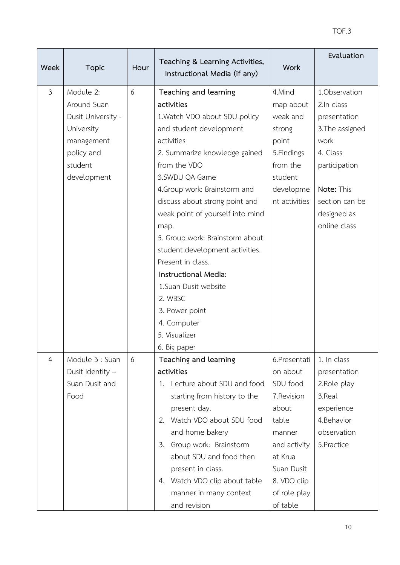| Week           | <b>Topic</b>                                                                                                       | Hour | Teaching & Learning Activities,<br>Instructional Media (if any)                                                                                                                                                                                                                                                                                                                                                                                                                                                          | <b>Work</b>                                                                                                                                                        | Evaluation                                                                                                                                                         |
|----------------|--------------------------------------------------------------------------------------------------------------------|------|--------------------------------------------------------------------------------------------------------------------------------------------------------------------------------------------------------------------------------------------------------------------------------------------------------------------------------------------------------------------------------------------------------------------------------------------------------------------------------------------------------------------------|--------------------------------------------------------------------------------------------------------------------------------------------------------------------|--------------------------------------------------------------------------------------------------------------------------------------------------------------------|
| $\mathfrak{Z}$ | Module 2:<br>Around Suan<br>Dusit University -<br>University<br>management<br>policy and<br>student<br>development | 6    | Teaching and learning<br>activities<br>1. Watch VDO about SDU policy<br>and student development<br>activities<br>2. Summarize knowledge gained<br>from the VDO<br>3.SWDU QA Game<br>4. Group work: Brainstorm and<br>discuss about strong point and<br>weak point of yourself into mind<br>map.<br>5. Group work: Brainstorm about<br>student development activities.<br>Present in class.<br>Instructional Media:<br>1. Suan Dusit website<br>2. WBSC<br>3. Power point<br>4. Computer<br>5. Visualizer<br>6. Big paper | 4.Mind<br>map about<br>weak and<br>strong<br>point<br>5. Findings<br>from the<br>student<br>developme<br>nt activities                                             | 1.Observation<br>2.In class<br>presentation<br>3. The assigned<br>work<br>4. Class<br>participation<br>Note: This<br>section can be<br>designed as<br>online class |
| $\overline{4}$ | Module 3 : Suan<br>Dusit Identity -<br>Suan Dusit and<br>Food                                                      | 6    | Teaching and learning<br>activities<br>1. Lecture about SDU and food<br>starting from history to the<br>present day.<br>2. Watch VDO about SDU food<br>and home bakery<br>Group work: Brainstorm<br>3.<br>about SDU and food then<br>present in class.<br>4. Watch VDO clip about table<br>manner in many context<br>and revision                                                                                                                                                                                        | 6.Presentati<br>on about<br>SDU food<br>7.Revision<br>about<br>table<br>manner<br>and activity<br>at Krua<br>Suan Dusit<br>8. VDO clip<br>of role play<br>of table | 1. In class<br>presentation<br>2. Role play<br>3.Real<br>experience<br>4.Behavior<br>observation<br>5. Practice                                                    |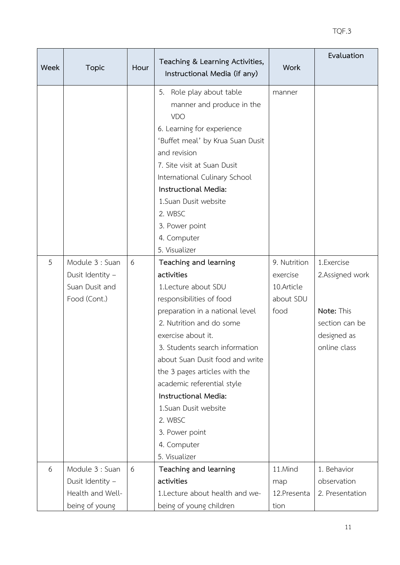| Week | <b>Topic</b>                                                              | Hour | Teaching & Learning Activities,<br>Instructional Media (if any)                                                                                                                                                                                                                                                                                                                                                              | <b>Work</b>                                                 | Evaluation                                                                                   |
|------|---------------------------------------------------------------------------|------|------------------------------------------------------------------------------------------------------------------------------------------------------------------------------------------------------------------------------------------------------------------------------------------------------------------------------------------------------------------------------------------------------------------------------|-------------------------------------------------------------|----------------------------------------------------------------------------------------------|
|      |                                                                           |      | Role play about table<br>5.<br>manner and produce in the<br>VDO<br>6. Learning for experience<br>'Buffet meal' by Krua Suan Dusit<br>and revision<br>7. Site visit at Suan Dusit<br>International Culinary School<br>Instructional Media:<br>1.Suan Dusit website<br>2. WBSC<br>3. Power point<br>4. Computer<br>5. Visualizer                                                                                               | manner                                                      |                                                                                              |
| 5    | Module 3 : Suan<br>Dusit Identity -<br>Suan Dusit and<br>Food (Cont.)     | 6    | Teaching and learning<br>activities<br>1.Lecture about SDU<br>responsibilities of food<br>preparation in a national level<br>2. Nutrition and do some<br>exercise about it.<br>3. Students search information<br>about Suan Dusit food and write<br>the 3 pages articles with the<br>academic referential style<br>Instructional Media:<br>1.Suan Dusit website<br>2. WBSC<br>3. Power point<br>4. Computer<br>5. Visualizer | 9. Nutrition<br>exercise<br>10.Article<br>about SDU<br>food | 1.Exercise<br>2.Assigned work<br>Note: This<br>section can be<br>designed as<br>online class |
| 6    | Module 3 : Suan<br>Dusit Identity -<br>Health and Well-<br>being of young | 6    | Teaching and learning<br>activities<br>1. Lecture about health and we-<br>being of young children                                                                                                                                                                                                                                                                                                                            | 11.Mind<br>map<br>12.Presenta<br>tion                       | 1. Behavior<br>observation<br>2. Presentation                                                |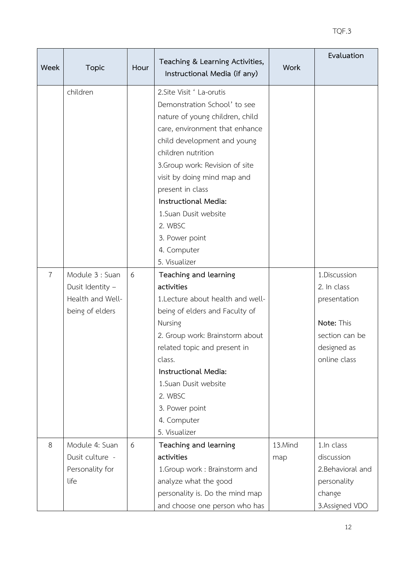| Week           | <b>Topic</b>                                                               | Hour | Teaching & Learning Activities,<br>Instructional Media (if any)                                                                                                                                                                                                                                                                                                        | <b>Work</b>    | Evaluation                                                                                                 |
|----------------|----------------------------------------------------------------------------|------|------------------------------------------------------------------------------------------------------------------------------------------------------------------------------------------------------------------------------------------------------------------------------------------------------------------------------------------------------------------------|----------------|------------------------------------------------------------------------------------------------------------|
|                | children                                                                   |      | 2. Site Visit ' La-orutis<br>Demonstration School' to see<br>nature of young children, child<br>care, environment that enhance<br>child development and young<br>children nutrition<br>3. Group work: Revision of site<br>visit by doing mind map and<br>present in class<br>Instructional Media:<br>1. Suan Dusit website<br>2. WBSC<br>3. Power point<br>4. Computer |                |                                                                                                            |
| $\overline{7}$ | Module 3 : Suan<br>Dusit Identity -<br>Health and Well-<br>being of elders | 6    | 5. Visualizer<br>Teaching and learning<br>activities<br>1. Lecture about health and well-<br>being of elders and Faculty of<br>Nursing<br>2. Group work: Brainstorm about<br>related topic and present in<br>class.<br>Instructional Media:<br>1.Suan Dusit website<br>2. WBSC<br>3. Power point<br>4. Computer<br>5. Visualizer                                       |                | 1.Discussion<br>2. In class<br>presentation<br>Note: This<br>section can be<br>designed as<br>online class |
| 8              | Module 4: Suan<br>Dusit culture -<br>Personality for<br>life               | 6    | Teaching and learning<br>activities<br>1.Group work : Brainstorm and<br>analyze what the good<br>personality is. Do the mind map<br>and choose one person who has                                                                                                                                                                                                      | 13.Mind<br>map | 1.In class<br>discussion<br>2.Behavioral and<br>personality<br>change<br>3.Assigned VDO                    |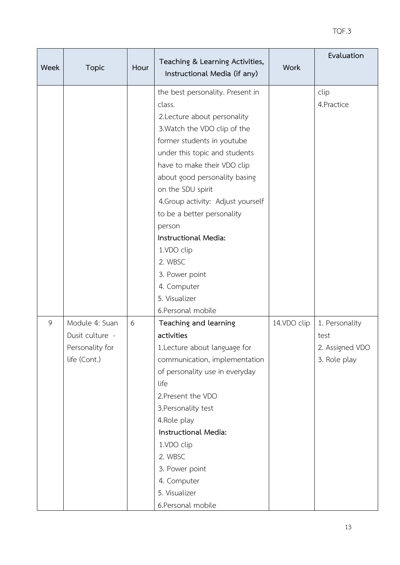| Week | <b>Topic</b>                                                         | Hour | Teaching & Learning Activities,<br>Instructional Media (if any)                                                                                                                                                                                                                                                                                                                                                                                                      | <b>Work</b> | Evaluation                                                |
|------|----------------------------------------------------------------------|------|----------------------------------------------------------------------------------------------------------------------------------------------------------------------------------------------------------------------------------------------------------------------------------------------------------------------------------------------------------------------------------------------------------------------------------------------------------------------|-------------|-----------------------------------------------------------|
|      |                                                                      |      | the best personality. Present in<br>class.<br>2. Lecture about personality<br>3. Watch the VDO clip of the<br>former students in youtube<br>under this topic and students<br>have to make their VDO clip<br>about good personality basing<br>on the SDU spirit<br>4. Group activity: Adjust yourself<br>to be a better personality<br>person<br>Instructional Media:<br>1.VDO clip<br>2. WBSC<br>3. Power point<br>4. Computer<br>5. Visualizer<br>6.Personal mobile |             | clip<br>4. Practice                                       |
| 9    | Module 4: Suan<br>Dusit culture -<br>Personality for<br>life (Cont.) | 6    | Teaching and learning<br>activities<br>1. Lecture about language for<br>communication, implementation<br>of personality use in everyday<br>life<br>2. Present the VDO<br>3. Personality test<br>4. Role play<br>Instructional Media:<br>1.VDO clip<br>2. WBSC<br>3. Power point<br>4. Computer<br>5. Visualizer<br>6.Personal mobile                                                                                                                                 | 14.VDO clip | 1. Personality<br>test<br>2. Assigned VDO<br>3. Role play |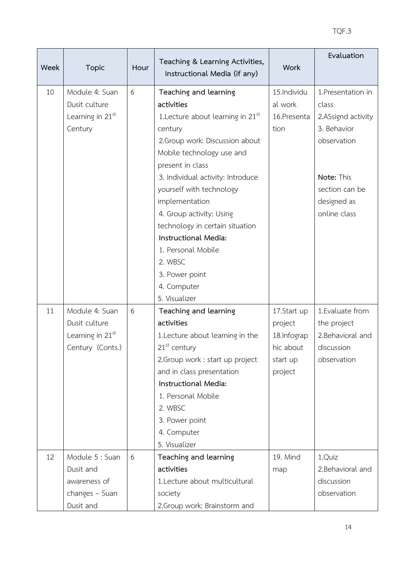| Week | <b>Topic</b>                                                                | Hour | Teaching & Learning Activities,<br>Instructional Media (if any)                                                                                                                                                                                                                                                                                                                                                       | <b>Work</b>                                                               | Evaluation                                                                                                                                     |
|------|-----------------------------------------------------------------------------|------|-----------------------------------------------------------------------------------------------------------------------------------------------------------------------------------------------------------------------------------------------------------------------------------------------------------------------------------------------------------------------------------------------------------------------|---------------------------------------------------------------------------|------------------------------------------------------------------------------------------------------------------------------------------------|
| 10   | Module 4: Suan<br>Dusit culture<br>Learning in 21 <sup>st</sup><br>Century  | 6    | Teaching and learning<br>activities<br>1. Lecture about learning in $21st$<br>century<br>2. Group work: Discussion about<br>Mobile technology use and<br>present in class<br>3. Individual activity: Introduce<br>yourself with technology<br>implementation<br>4. Group activity: Using<br>technology in certain situation<br>Instructional Media:<br>1. Personal Mobile<br>2. WBSC<br>3. Power point<br>4. Computer | 15.Individu<br>al work<br>16.Presenta<br>tion                             | 1. Presentation in<br>class<br>2.ASsignd activity<br>3. Behavior<br>observation<br>Note: This<br>section can be<br>designed as<br>online class |
| 11   | Module 4: Suan<br>Dusit culture<br>Learning in $21st$<br>Century (Conts.)   | 6    | 5. Visualizer<br>Teaching and learning<br>activities<br>1. Lecture about learning in the<br>$21st$ century<br>2. Group work : start up project<br>and in class presentation<br>Instructional Media:<br>1. Personal Mobile<br>2. WBSC<br>3. Power point<br>4. Computer<br>5. Visualizer                                                                                                                                | 17.Start up<br>project<br>18.Infograp<br>hic about<br>start up<br>project | 1. Evaluate from<br>the project<br>2. Behavioral and<br>discussion<br>observation                                                              |
| 12   | Module 5 : Suan<br>Dusit and<br>awareness of<br>changes - Suan<br>Dusit and | 6    | Teaching and learning<br>activities<br>1.Lecture about multicultural<br>society<br>2. Group work: Brainstorm and                                                                                                                                                                                                                                                                                                      | 19. Mind<br>map                                                           | 1.Quiz<br>2. Behavioral and<br>discussion<br>observation                                                                                       |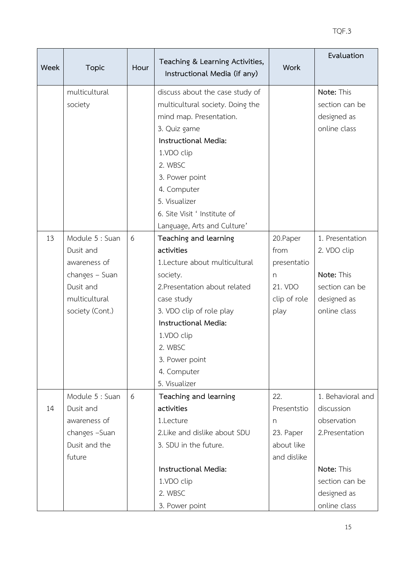| <b>Week</b> | <b>Topic</b>    | Hour | Teaching & Learning Activities,<br>Instructional Media (if any) | <b>Work</b>  | Evaluation        |
|-------------|-----------------|------|-----------------------------------------------------------------|--------------|-------------------|
|             | multicultural   |      | discuss about the case study of                                 |              | Note: This        |
|             | society         |      | multicultural society. Doing the                                |              | section can be    |
|             |                 |      | mind map. Presentation.                                         |              | designed as       |
|             |                 |      | 3. Quiz game                                                    |              | online class      |
|             |                 |      | Instructional Media:                                            |              |                   |
|             |                 |      | 1.VDO clip                                                      |              |                   |
|             |                 |      | 2. WBSC                                                         |              |                   |
|             |                 |      | 3. Power point                                                  |              |                   |
|             |                 |      | 4. Computer                                                     |              |                   |
|             |                 |      | 5. Visualizer                                                   |              |                   |
|             |                 |      | 6. Site Visit ' Institute of                                    |              |                   |
|             |                 |      | Language, Arts and Culture'                                     |              |                   |
| 13          | Module 5 : Suan | 6    | Teaching and learning                                           | 20. Paper    | 1. Presentation   |
|             | Dusit and       |      | activities                                                      | from         | 2. VDO clip       |
|             | awareness of    |      | 1.Lecture about multicultural                                   | presentatio  |                   |
|             | changes - Suan  |      | society.                                                        | n            | Note: This        |
|             | Dusit and       |      | 2. Presentation about related                                   | 21. VDO      | section can be    |
|             | multicultural   |      | case study                                                      | clip of role | designed as       |
|             | society (Cont.) |      | 3. VDO clip of role play                                        | play         | online class      |
|             |                 |      | Instructional Media:                                            |              |                   |
|             |                 |      | 1.VDO clip                                                      |              |                   |
|             |                 |      | 2. WBSC                                                         |              |                   |
|             |                 |      | 3. Power point                                                  |              |                   |
|             |                 |      | 4. Computer                                                     |              |                   |
|             |                 |      | 5. Visualizer                                                   |              |                   |
|             | Module 5 : Suan | 6    | Teaching and learning                                           | 22.          | 1. Behavioral and |
| 14          | Dusit and       |      | activities                                                      | Presentstio  | discussion        |
|             | awareness of    |      | 1.Lecture                                                       | n            | observation       |
|             | changes -Suan   |      | 2. Like and dislike about SDU                                   | 23. Paper    | 2.Presentation    |
|             | Dusit and the   |      | 3. SDU in the future.                                           | about like   |                   |
|             | future          |      |                                                                 | and dislike  |                   |
|             |                 |      | Instructional Media:                                            |              | Note: This        |
|             |                 |      | 1.VDO clip                                                      |              | section can be    |
|             |                 |      | 2. WBSC                                                         |              | designed as       |
|             |                 |      | 3. Power point                                                  |              | online class      |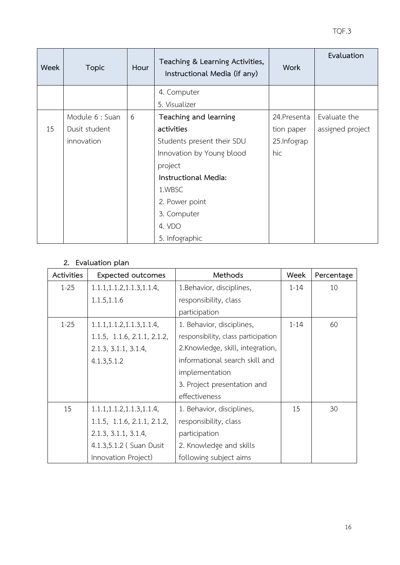| Week | <b>Topic</b>    | Hour | Teaching & Learning Activities,<br>Instructional Media (if any) | <b>Work</b>  | Evaluation       |
|------|-----------------|------|-----------------------------------------------------------------|--------------|------------------|
|      |                 |      | 4. Computer                                                     |              |                  |
|      |                 |      | 5. Visualizer                                                   |              |                  |
|      | Module 6 : Suan | 6    | Teaching and learning                                           | 24. Presenta | Evaluate the     |
| 15   | Dusit student   |      | activities                                                      | tion paper   | assigned project |
|      | innovation      |      | Students present their SDU                                      | 25. Infograp |                  |
|      |                 |      | Innovation by Young blood                                       | hic          |                  |
|      |                 |      | project                                                         |              |                  |
|      |                 |      | Instructional Media:                                            |              |                  |
|      |                 |      | 1.WBSC                                                          |              |                  |
|      |                 |      | 2. Power point                                                  |              |                  |
|      |                 |      | 3. Computer                                                     |              |                  |
|      |                 |      | 4. VDO                                                          |              |                  |
|      |                 |      | 5. Infographic                                                  |              |                  |

### **2. Evaluation plan**

| Activities | <b>Expected outcomes</b>    | Methods                             | Week     | Percentage |
|------------|-----------------------------|-------------------------------------|----------|------------|
| $1 - 25$   | 1.1.1, 1.1.2, 1.1.3, 1.1.4, | 1. Behavior, disciplines,           | $1 - 14$ | 10         |
|            | 1.1.5, 1.1.6                | responsibility, class               |          |            |
|            |                             | participation                       |          |            |
| $1 - 25$   | 1.1.1, 1.1.2, 1.1.3, 1.1.4, | 1. Behavior, disciplines,           | $1 - 14$ | 60         |
|            | 1.1.5, 1.1.6, 2.1.1, 2.1.2, | responsibility, class participation |          |            |
|            | 2.1.3, 3.1.1, 3.1.4,        | 2.Knowledge, skill, integration,    |          |            |
|            | 4.1.3, 5.1.2                | informational search skill and      |          |            |
|            |                             | implementation                      |          |            |
|            |                             | 3. Project presentation and         |          |            |
|            |                             | effectiveness                       |          |            |
| 15         | 1.1.1, 1.1.2, 1.1.3, 1.1.4, | 1. Behavior, disciplines,           | 15       | 30         |
|            | 1.1.5, 1.1.6, 2.1.1, 2.1.2, | responsibility, class               |          |            |
|            | 2.1.3, 3.1.1, 3.1.4,        | participation                       |          |            |
|            | 4.1.3,5.1.2 (Suan Dusit     | 2. Knowledge and skills             |          |            |
|            | Innovation Project)         | following subject aims              |          |            |